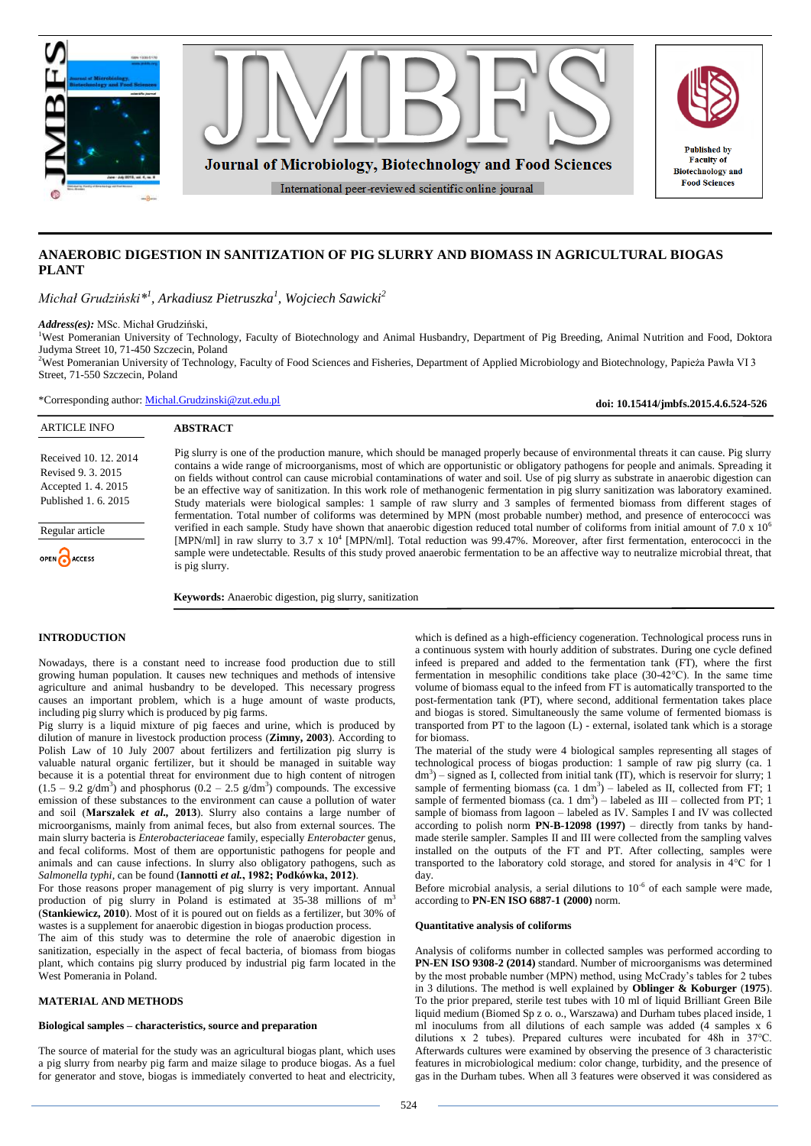

# **ANAEROBIC DIGESTION IN SANITIZATION OF PIG SLURRY AND BIOMASS IN AGRICULTURAL BIOGAS PLANT**

*Michał Grudziński\*<sup>1</sup> , Arkadiusz Pietruszka<sup>1</sup> , Wojciech Sawicki<sup>2</sup>*

**ABSTRACT**

*Address(es):* MSc. Michał Grudziński,

<sup>1</sup>West Pomeranian University of Technology, Faculty of Biotechnology and Animal Husbandry, Department of Pig Breeding, Animal Nutrition and Food, Doktora Judyma Street 10, 71-450 Szczecin, Poland

<sup>2</sup>West Pomeranian University of Technology, Faculty of Food Sciences and Fisheries, Department of Applied Microbiology and Biotechnology, Papieża Pawła VI 3 Street, 71-550 Szczecin, Poland

\*Corresponding author: [Michal.Grudzinski@zut.edu.pl](mailto:Michal.Grudzinski@zut.edu.pl)

**doi: 10.15414/jmbfs.2015.4.6.524-526**

## ARTICLE INFO

Received 10. 12. 2014 Revised 9. 3. 2015 Accepted 1. 4. 2015 Published 1. 6. 2015

Regular article

OPEN ACCESS

Pig slurry is one of the production manure, which should be managed properly because of environmental threats it can cause. Pig slurry contains a wide range of microorganisms, most of which are opportunistic or obligatory pathogens for people and animals. Spreading it on fields without control can cause microbial contaminations of water and soil. Use of pig slurry as substrate in anaerobic digestion can be an effective way of sanitization. In this work role of methanogenic fermentation in pig slurry sanitization was laboratory examined. Study materials were biological samples: 1 sample of raw slurry and 3 samples of fermented biomass from different stages of fermentation. Total number of coliforms was determined by MPN (most probable number) method, and presence of enterococci was verified in each sample. Study have shown that anaerobic digestion reduced total number of coliforms from initial amount of 7.0 x 10<sup>6</sup> [MPN/ml] in raw slurry to 3.7 x 10<sup>4</sup> [MPN/ml]. Total reduction was 99.47%. Moreover, after first fermentation, enterococci in the sample were undetectable. Results of this study proved anaerobic fermentation to be an affective way to neutralize microbial threat, that is pig slurry.

**Keywords:** Anaerobic digestion, pig slurry, sanitization

## **INTRODUCTION**

Nowadays, there is a constant need to increase food production due to still growing human population. It causes new techniques and methods of intensive agriculture and animal husbandry to be developed. This necessary progress causes an important problem, which is a huge amount of waste products, including pig slurry which is produced by pig farms.

Pig slurry is a liquid mixture of pig faeces and urine, which is produced by dilution of manure in livestock production process (**Zimny, 2003**). According to Polish Law of 10 July 2007 about fertilizers and fertilization pig slurry is valuable natural organic fertilizer, but it should be managed in suitable way because it is a potential threat for environment due to high content of nitrogen  $(1.5 - 9.2 \text{ g/dm}^3)$  and phosphorus  $(0.2 - 2.5 \text{ g/dm}^3)$  compounds. The excessive emission of these substances to the environment can cause a pollution of water and soil (**Marszałek** *et al.,* **2013**). Slurry also contains a large number of microorganisms, mainly from animal feces, but also from external sources. The main slurry bacteria is *Enterobacteriaceae* family, especially *Enterobacter* genus, and fecal coliforms. Most of them are opportunistic pathogens for people and animals and can cause infections. In slurry also obligatory pathogens, such as *Salmonella typhi*, can be found (**Iannotti** *et al.***, 1982; Podkówka, 2012)**.

For those reasons proper management of pig slurry is very important. Annual production of pig slurry in Poland is estimated at 35-38 millions of m<sup>3</sup> (**Stankiewicz, 2010**). Most of it is poured out on fields as a fertilizer, but 30% of wastes is a supplement for anaerobic digestion in biogas production process.

The aim of this study was to determine the role of anaerobic digestion in sanitization, especially in the aspect of fecal bacteria, of biomass from biogas plant, which contains pig slurry produced by industrial pig farm located in the West Pomerania in Poland.

#### **MATERIAL AND METHODS**

#### **Biological samples – characteristics, source and preparation**

The source of material for the study was an agricultural biogas plant, which uses a pig slurry from nearby pig farm and maize silage to produce biogas. As a fuel for generator and stove, biogas is immediately converted to heat and electricity,

which is defined as a high-efficiency cogeneration. Technological process runs in a continuous system with hourly addition of substrates. During one cycle defined infeed is prepared and added to the fermentation tank (FT), where the first fermentation in mesophilic conditions take place (30-42°C). In the same time volume of biomass equal to the infeed from FT is automatically transported to the post-fermentation tank (PT), where second, additional fermentation takes place and biogas is stored. Simultaneously the same volume of fermented biomass is transported from PT to the lagoon (L) - external, isolated tank which is a storage for biomass.

The material of the study were 4 biological samples representing all stages of technological process of biogas production: 1 sample of raw pig slurry (ca. 1 dm<sup>3</sup>) – signed as I, collected from initial tank (IT), which is reservoir for slurry; 1 sample of fermenting biomass (ca. 1 dm<sup>3</sup>) – labeled as II, collected from FT; 1 sample of fermented biomass (ca. 1  $dm^3$ ) – labeled as III – collected from PT; 1 sample of biomass from lagoon – labeled as IV. Samples I and IV was collected according to polish norm **PN-B-12098 (1997)** – directly from tanks by handmade sterile sampler. Samples II and III were collected from the sampling valves installed on the outputs of the FT and PT. After collecting, samples were transported to the laboratory cold storage, and stored for analysis in 4°C for 1 day.

Before microbial analysis, a serial dilutions to  $10^{-6}$  of each sample were made, according to **PN-EN ISO 6887-1 (2000)** norm.

### **Quantitative analysis of coliforms**

Analysis of coliforms number in collected samples was performed according to **PN-EN ISO 9308-2 (2014)** standard. Number of microorganisms was determined by the most probable number (MPN) method, using McCrady's tables for 2 tubes in 3 dilutions. The method is well explained by **Oblinger & Koburger** (**1975**). To the prior prepared, sterile test tubes with 10 ml of liquid Brilliant Green Bile liquid medium (Biomed Sp z o. o., Warszawa) and Durham tubes placed inside, 1 ml inoculums from all dilutions of each sample was added (4 samples x 6 dilutions x 2 tubes). Prepared cultures were incubated for 48h in 37°C. Afterwards cultures were examined by observing the presence of 3 characteristic features in microbiological medium: color change, turbidity, and the presence of gas in the Durham tubes. When all 3 features were observed it was considered as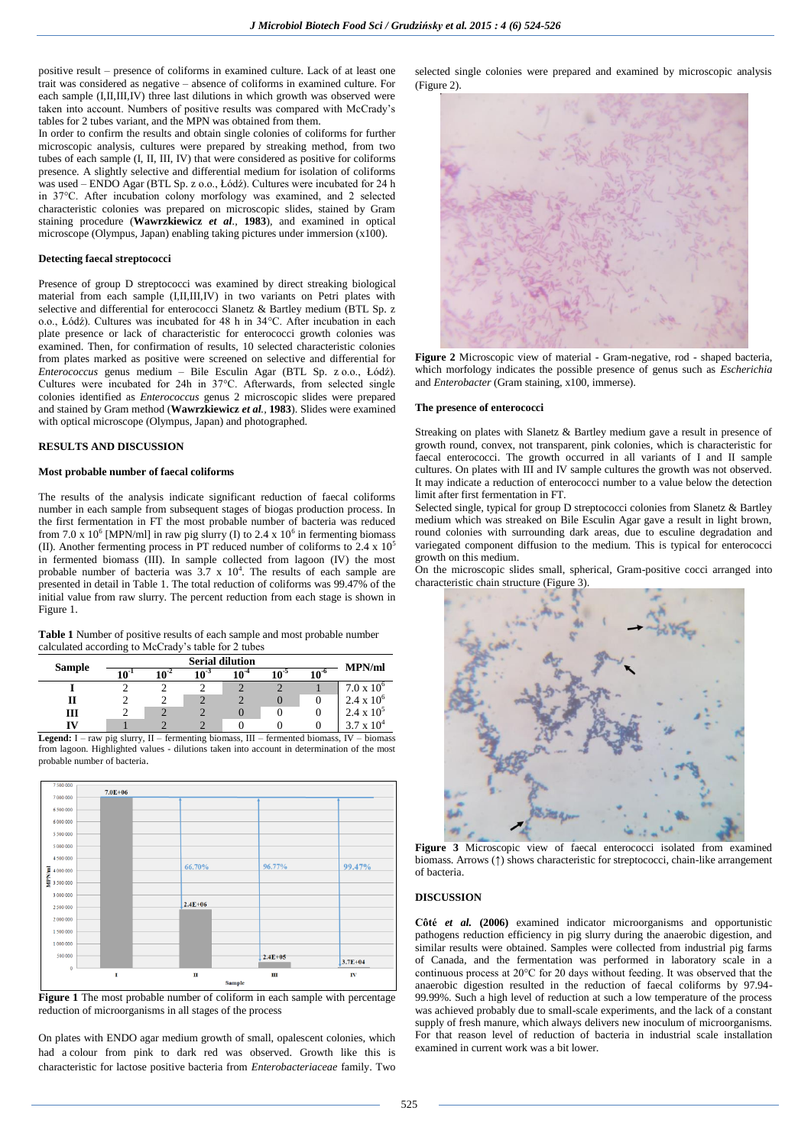positive result – presence of coliforms in examined culture. Lack of at least one trait was considered as negative – absence of coliforms in examined culture. For each sample (I,II,III,IV) three last dilutions in which growth was observed were taken into account. Numbers of positive results was compared with McCrady's tables for 2 tubes variant, and the MPN was obtained from them.

In order to confirm the results and obtain single colonies of coliforms for further microscopic analysis, cultures were prepared by streaking method, from two tubes of each sample (I, II, III, IV) that were considered as positive for coliforms presence. A slightly selective and differential medium for isolation of coliforms was used – ENDO Agar (BTL Sp. z o.o., Łódź). Cultures were incubated for 24 h in 37°C. After incubation colony morfology was examined, and 2 selected characteristic colonies was prepared on microscopic slides, stained by Gram staining procedure (**Wawrzkiewicz** *et al.,* **1983**), and examined in optical microscope (Olympus, Japan) enabling taking pictures under immersion (x100).

### **Detecting faecal streptococci**

Presence of group D streptococci was examined by direct streaking biological material from each sample (I,II,III,IV) in two variants on Petri plates with selective and differential for enterococci Slanetz & Bartley medium (BTL Sp. z o.o., Łódź). Cultures was incubated for 48 h in 34°C. After incubation in each plate presence or lack of characteristic for enterococci growth colonies was examined. Then, for confirmation of results, 10 selected characteristic colonies from plates marked as positive were screened on selective and differential for *Enterococcus* genus medium – Bile Esculin Agar (BTL Sp. z o.o., Łódź). Cultures were incubated for 24h in 37°C. Afterwards, from selected single colonies identified as *Enterococcus* genus 2 microscopic slides were prepared and stained by Gram method (**Wawrzkiewicz** *et al.,* **1983**). Slides were examined with optical microscope (Olympus, Japan) and photographed.

## **RESULTS AND DISCUSSION**

### **Most probable number of faecal coliforms**

The results of the analysis indicate significant reduction of faecal coliforms number in each sample from subsequent stages of biogas production process. In the first fermentation in FT the most probable number of bacteria was reduced from 7.0 x 10<sup>6</sup> [MPN/ml] in raw pig slurry (I) to 2.4 x 10<sup>6</sup> in fermenting biomass (II). Another fermenting process in PT reduced number of coliforms to  $2.4 \times 10^5$ in fermented biomass (III). In sample collected from lagoon (IV) the most probable number of bacteria was  $3.7 \times 10^4$ . The results of each sample are presented in detail in Table 1. The total reduction of coliforms was 99.47% of the initial value from raw slurry. The percent reduction from each stage is shown in Figure 1.

**Table 1** Number of positive results of each sample and most probable number calculated according to McCrady's table for 2 tubes

| <b>Sample</b> | <b>Serial dilution</b> |                  |     |           |          |      | <b>MPN/ml</b>       |
|---------------|------------------------|------------------|-----|-----------|----------|------|---------------------|
|               | $10^{-1}$              | 1ሰ- <sup>2</sup> | 103 | $10^{-4}$ | $10^{5}$ | 10-6 |                     |
|               |                        |                  |     |           |          |      | $7.0 \times 10^{6}$ |
| Н             |                        |                  |     |           |          |      | $2.4 \times 10^6$   |
| ш             |                        |                  |     |           |          |      | $2.4 \times 10^5$   |
|               |                        |                  |     |           |          |      |                     |

**Legend:** I – raw pig slurry, II – fermenting biomass, III – fermented biomass, IV – biomass from lagoon. Highlighted values - dilutions taken into account in determination of the most probable number of bacteria.



**Figure 1** The most probable number of coliform in each sample with percentage reduction of microorganisms in all stages of the process

On plates with ENDO agar medium growth of small, opalescent colonies, which had a colour from pink to dark red was observed. Growth like this is characteristic for lactose positive bacteria from *Enterobacteriaceae* family. Two

selected single colonies were prepared and examined by microscopic analysis (Figure 2).



**Figure 2** Microscopic view of material - Gram-negative, rod - shaped bacteria, which morfology indicates the possible presence of genus such as *Escherichia* and *Enterobacter* (Gram staining, x100, immerse).

# **The presence of enterococci**

Streaking on plates with Slanetz & Bartley medium gave a result in presence of growth round, convex, not transparent, pink colonies, which is characteristic for faecal enterococci. The growth occurred in all variants of I and II sample cultures. On plates with III and IV sample cultures the growth was not observed. It may indicate a reduction of enterococci number to a value below the detection limit after first fermentation in FT.

Selected single, typical for group D streptococci colonies from Slanetz & Bartley medium which was streaked on Bile Esculin Agar gave a result in light brown, round colonies with surrounding dark areas, due to esculine degradation and variegated component diffusion to the medium. This is typical for enterococci growth on this medium.

On the microscopic slides small, spherical, Gram-positive cocci arranged into characteristic chain structure (Figure 3).



**Figure 3** Microscopic view of faecal enterococci isolated from examined biomass. Arrows ( $\uparrow$ ) shows characteristic for streptococci, chain-like arrangement of bacteria.

#### **DISCUSSION**

**Côté** *et al.* **(2006)** examined indicator microorganisms and opportunistic pathogens reduction efficiency in pig slurry during the anaerobic digestion, and similar results were obtained. Samples were collected from industrial pig farms of Canada, and the fermentation was performed in laboratory scale in a continuous process at 20°C for 20 days without feeding. It was observed that the anaerobic digestion resulted in the reduction of faecal coliforms by 97.94- 99.99%. Such a high level of reduction at such a low temperature of the process was achieved probably due to small-scale experiments, and the lack of a constant supply of fresh manure, which always delivers new inoculum of microorganisms. For that reason level of reduction of bacteria in industrial scale installation examined in current work was a bit lower.